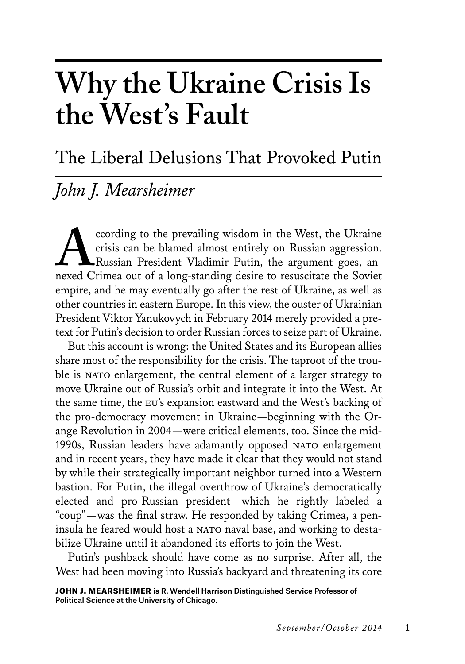# **Why the Ukraine Crisis Is the West's Fault**

The Liberal Delusions That Provoked Putin

## *John J. Mearsheimer*

cording to the prevailing wisdom in the West, the Ukraine<br>crisis can be blamed almost entirely on Russian aggression.<br>Russian President Vladimir Putin, the argument goes, an-<br>neved Crimea out of a long-standing desire to r crisis can be blamed almost entirely on Russian aggression. Russian President Vladimir Putin, the argument goes, annexed Crimea out of a long-standing desire to resuscitate the Soviet empire, and he may eventually go after the rest of Ukraine, as well as other countries in eastern Europe. In this view, the ouster of Ukrainian President Viktor Yanukovych in February 2014 merely provided a pretext for Putin's decision to order Russian forces to seize part of Ukraine.

But this account is wrong: the United States and its European allies share most of the responsibility for the crisis. The taproot of the trouble is NATO enlargement, the central element of a larger strategy to move Ukraine out of Russia's orbit and integrate it into the West. At the same time, the EU's expansion eastward and the West's backing of the pro-democracy movement in Ukraine—beginning with the Orange Revolution in 2004—were critical elements, too. Since the mid-1990s, Russian leaders have adamantly opposed NATO enlargement and in recent years, they have made it clear that they would not stand by while their strategically important neighbor turned into a Western bastion. For Putin, the illegal overthrow of Ukraine's democratically elected and pro-Russian president—which he rightly labeled a "coup"—was the final straw. He responded by taking Crimea, a peninsula he feared would host a NATO naval base, and working to destabilize Ukraine until it abandoned its efforts to join the West.

Putin's pushback should have come as no surprise. After all, the West had been moving into Russia's backyard and threatening its core

JOHN J. MEARSHEIMER is R. Wendell Harrison Distinguished Service Professor of Political Science at the University of Chicago.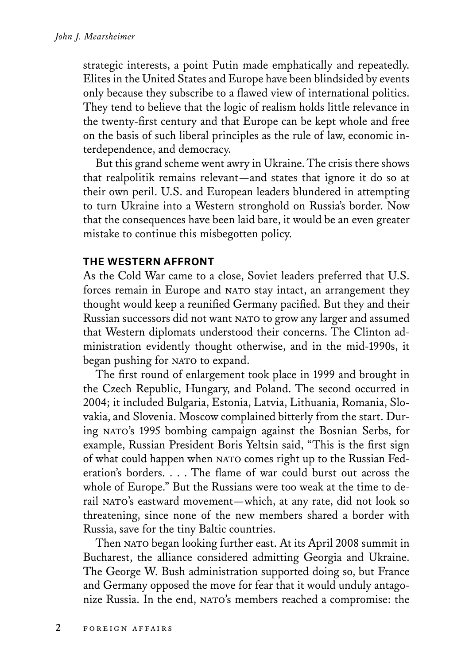strategic interests, a point Putin made emphatically and repeatedly. Elites in the United States and Europe have been blindsided by events only because they subscribe to a flawed view of international politics. They tend to believe that the logic of realism holds little relevance in the twenty-first century and that Europe can be kept whole and free on the basis of such liberal principles as the rule of law, economic interdependence, and democracy.

But this grand scheme went awry in Ukraine. The crisis there shows that realpolitik remains relevant—and states that ignore it do so at their own peril. U.S. and European leaders blundered in attempting to turn Ukraine into a Western stronghold on Russia's border. Now that the consequences have been laid bare, it would be an even greater mistake to continue this misbegotten policy.

#### **THE WESTERN AFFRONT**

As the Cold War came to a close, Soviet leaders preferred that U.S. forces remain in Europe and NATO stay intact, an arrangement they thought would keep a reunified Germany pacified. But they and their Russian successors did not want NATO to grow any larger and assumed that Western diplomats understood their concerns. The Clinton administration evidently thought otherwise, and in the mid-1990s, it began pushing for NATO to expand.

The first round of enlargement took place in 1999 and brought in the Czech Republic, Hungary, and Poland. The second occurred in 2004; it included Bulgaria, Estonia, Latvia, Lithuania, Romania, Slovakia, and Slovenia. Moscow complained bitterly from the start. During NATO's 1995 bombing campaign against the Bosnian Serbs, for example, Russian President Boris Yeltsin said, "This is the first sign of what could happen when NATO comes right up to the Russian Federation's borders. . . . The flame of war could burst out across the whole of Europe." But the Russians were too weak at the time to derail NATO's eastward movement—which, at any rate, did not look so threatening, since none of the new members shared a border with Russia, save for the tiny Baltic countries.

Then NATO began looking further east. At its April 2008 summit in Bucharest, the alliance considered admitting Georgia and Ukraine. The George W. Bush administration supported doing so, but France and Germany opposed the move for fear that it would unduly antagonize Russia. In the end, NATO's members reached a compromise: the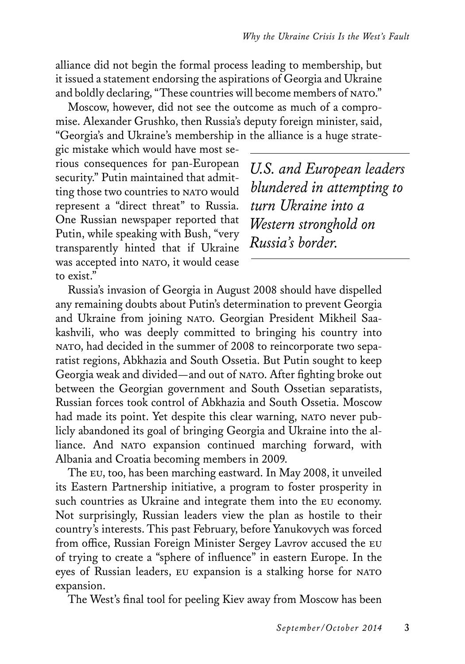alliance did not begin the formal process leading to membership, but it issued a statement endorsing the aspirations of Georgia and Ukraine and boldly declaring, "These countries will become members of NATO."

Moscow, however, did not see the outcome as much of a compromise. Alexander Grushko, then Russia's deputy foreign minister, said, "Georgia's and Ukraine's membership in the alliance is a huge strate-

gic mistake which would have most serious consequences for pan-European security." Putin maintained that admitting those two countries to NATO would represent a "direct threat" to Russia. One Russian newspaper reported that Putin, while speaking with Bush, "very transparently hinted that if Ukraine was accepted into NATO, it would cease to exist."

*U.S. and European leaders blundered in attempting to turn Ukraine into a Western stronghold on Russia's border.*

Russia's invasion of Georgia in August 2008 should have dispelled any remaining doubts about Putin's determination to prevent Georgia and Ukraine from joining NATO. Georgian President Mikheil Saakashvili, who was deeply committed to bringing his country into NATO, had decided in the summer of 2008 to reincorporate two separatist regions, Abkhazia and South Ossetia. But Putin sought to keep Georgia weak and divided—and out of NATO. After fighting broke out between the Georgian government and South Ossetian separatists, Russian forces took control of Abkhazia and South Ossetia. Moscow had made its point. Yet despite this clear warning, NATO never publicly abandoned its goal of bringing Georgia and Ukraine into the alliance. And NATO expansion continued marching forward, with Albania and Croatia becoming members in 2009.

The EU, too, has been marching eastward. In May 2008, it unveiled its Eastern Partnership initiative, a program to foster prosperity in such countries as Ukraine and integrate them into the EU economy. Not surprisingly, Russian leaders view the plan as hostile to their country's interests. This past February, before Yanukovych was forced from office, Russian Foreign Minister Sergey Lavrov accused the EU of trying to create a "sphere of influence" in eastern Europe. In the eyes of Russian leaders, EU expansion is a stalking horse for NATO expansion.

The West's final tool for peeling Kiev away from Moscow has been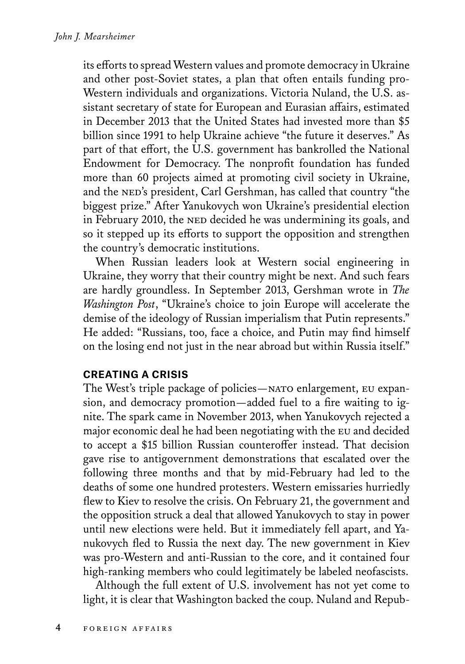its efforts to spread Western values and promote democracy in Ukraine and other post-Soviet states, a plan that often entails funding pro-Western individuals and organizations. Victoria Nuland, the U.S. assistant secretary of state for European and Eurasian affairs, estimated in December 2013 that the United States had invested more than \$5 billion since 1991 to help Ukraine achieve "the future it deserves." As part of that effort, the U.S. government has bankrolled the National Endowment for Democracy. The nonprofit foundation has funded more than 60 projects aimed at promoting civil society in Ukraine, and the NED's president, Carl Gershman, has called that country "the biggest prize." After Yanukovych won Ukraine's presidential election in February 2010, the NED decided he was undermining its goals, and so it stepped up its efforts to support the opposition and strengthen the country's democratic institutions.

When Russian leaders look at Western social engineering in Ukraine, they worry that their country might be next. And such fears are hardly groundless. In September 2013, Gershman wrote in *The Washington Post*, "Ukraine's choice to join Europe will accelerate the demise of the ideology of Russian imperialism that Putin represents." He added: "Russians, too, face a choice, and Putin may find himself on the losing end not just in the near abroad but within Russia itself."

#### **CREATING A CRISIS**

The West's triple package of policies—NATO enlargement, EU expansion, and democracy promotion—added fuel to a fire waiting to ignite. The spark came in November 2013, when Yanukovych rejected a major economic deal he had been negotiating with the EU and decided to accept a \$15 billion Russian counteroffer instead. That decision gave rise to antigovernment demonstrations that escalated over the following three months and that by mid-February had led to the deaths of some one hundred protesters. Western emissaries hurriedly flew to Kiev to resolve the crisis. On February 21, the government and the opposition struck a deal that allowed Yanukovych to stay in power until new elections were held. But it immediately fell apart, and Yanukovych fled to Russia the next day. The new government in Kiev was pro-Western and anti-Russian to the core, and it contained four high-ranking members who could legitimately be labeled neofascists.

Although the full extent of U.S. involvement has not yet come to light, it is clear that Washington backed the coup. Nuland and Repub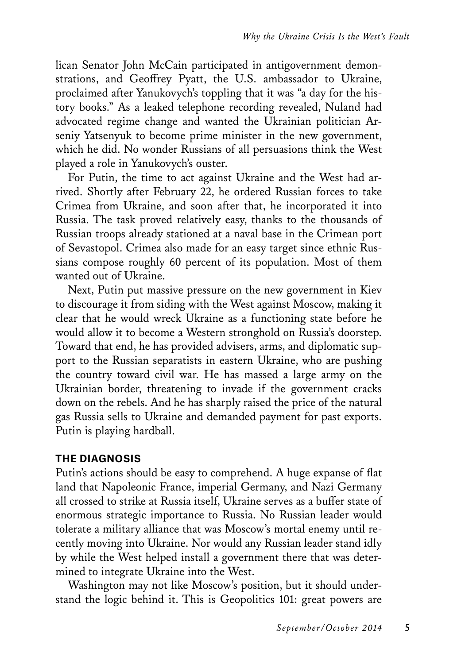lican Senator John McCain participated in antigovernment demonstrations, and Geoffrey Pyatt, the U.S. ambassador to Ukraine, proclaimed after Yanukovych's toppling that it was "a day for the history books." As a leaked telephone recording revealed, Nuland had advocated regime change and wanted the Ukrainian politician Arseniy Yatsenyuk to become prime minister in the new government, which he did. No wonder Russians of all persuasions think the West played a role in Yanukovych's ouster.

For Putin, the time to act against Ukraine and the West had arrived. Shortly after February 22, he ordered Russian forces to take Crimea from Ukraine, and soon after that, he incorporated it into Russia. The task proved relatively easy, thanks to the thousands of Russian troops already stationed at a naval base in the Crimean port of Sevastopol. Crimea also made for an easy target since ethnic Russians compose roughly 60 percent of its population. Most of them wanted out of Ukraine.

Next, Putin put massive pressure on the new government in Kiev to discourage it from siding with the West against Moscow, making it clear that he would wreck Ukraine as a functioning state before he would allow it to become a Western stronghold on Russia's doorstep. Toward that end, he has provided advisers, arms, and diplomatic support to the Russian separatists in eastern Ukraine, who are pushing the country toward civil war. He has massed a large army on the Ukrainian border, threatening to invade if the government cracks down on the rebels. And he has sharply raised the price of the natural gas Russia sells to Ukraine and demanded payment for past exports. Putin is playing hardball.

#### **THE DIAGNOSIS**

Putin's actions should be easy to comprehend. A huge expanse of flat land that Napoleonic France, imperial Germany, and Nazi Germany all crossed to strike at Russia itself, Ukraine serves as a buffer state of enormous strategic importance to Russia. No Russian leader would tolerate a military alliance that was Moscow's mortal enemy until recently moving into Ukraine. Nor would any Russian leader stand idly by while the West helped install a government there that was determined to integrate Ukraine into the West.

Washington may not like Moscow's position, but it should understand the logic behind it. This is Geopolitics 101: great powers are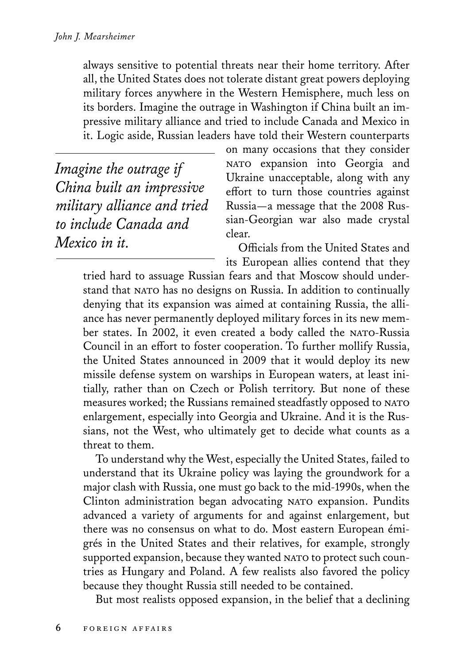always sensitive to potential threats near their home territory. After all, the United States does not tolerate distant great powers deploying military forces anywhere in the Western Hemisphere, much less on its borders. Imagine the outrage in Washington if China built an impressive military alliance and tried to include Canada and Mexico in it. Logic aside, Russian leaders have told their Western counterparts

*Imagine the outrage if China built an impressive military alliance and tried to include Canada and Mexico in it.*

on many occasions that they consider NATO expansion into Georgia and Ukraine unacceptable, along with any effort to turn those countries against Russia—a message that the 2008 Russian-Georgian war also made crystal clear.

Officials from the United States and its European allies contend that they

tried hard to assuage Russian fears and that Moscow should understand that NATO has no designs on Russia. In addition to continually denying that its expansion was aimed at containing Russia, the alliance has never permanently deployed military forces in its new member states. In 2002, it even created a body called the NATO-Russia Council in an effort to foster cooperation. To further mollify Russia, the United States announced in 2009 that it would deploy its new missile defense system on warships in European waters, at least initially, rather than on Czech or Polish territory. But none of these measures worked; the Russians remained steadfastly opposed to NATO enlargement, especially into Georgia and Ukraine. And it is the Russians, not the West, who ultimately get to decide what counts as a threat to them.

To understand why the West, especially the United States, failed to understand that its Ukraine policy was laying the groundwork for a major clash with Russia, one must go back to the mid-1990s, when the Clinton administration began advocating NATO expansion. Pundits advanced a variety of arguments for and against enlargement, but there was no consensus on what to do. Most eastern European émigrés in the United States and their relatives, for example, strongly supported expansion, because they wanted NATO to protect such countries as Hungary and Poland. A few realists also favored the policy because they thought Russia still needed to be contained.

But most realists opposed expansion, in the belief that a declining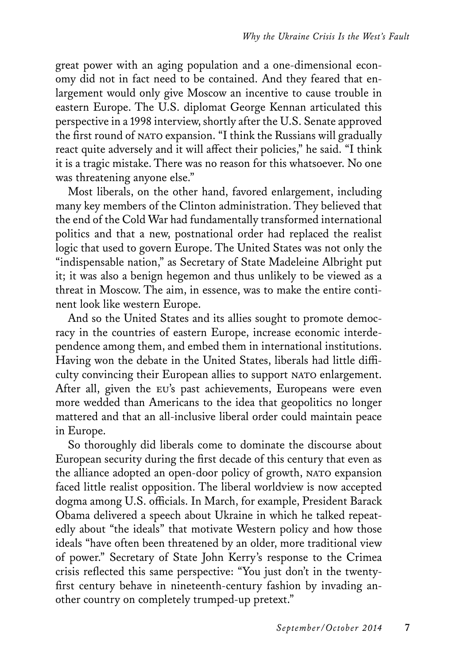great power with an aging population and a one-dimensional economy did not in fact need to be contained. And they feared that enlargement would only give Moscow an incentive to cause trouble in eastern Europe. The U.S. diplomat George Kennan articulated this perspective in a 1998 interview, shortly after the U.S. Senate approved the first round of NATO expansion. "I think the Russians will gradually react quite adversely and it will affect their policies," he said. "I think it is a tragic mistake. There was no reason for this whatsoever. No one was threatening anyone else."

Most liberals, on the other hand, favored enlargement, including many key members of the Clinton administration. They believed that the end of the Cold War had fundamentally transformed international politics and that a new, postnational order had replaced the realist logic that used to govern Europe. The United States was not only the "indispensable nation," as Secretary of State Madeleine Albright put it; it was also a benign hegemon and thus unlikely to be viewed as a threat in Moscow. The aim, in essence, was to make the entire continent look like western Europe.

And so the United States and its allies sought to promote democracy in the countries of eastern Europe, increase economic interdependence among them, and embed them in international institutions. Having won the debate in the United States, liberals had little difficulty convincing their European allies to support NATO enlargement. After all, given the EU's past achievements, Europeans were even more wedded than Americans to the idea that geopolitics no longer mattered and that an all-inclusive liberal order could maintain peace in Europe.

So thoroughly did liberals come to dominate the discourse about European security during the first decade of this century that even as the alliance adopted an open-door policy of growth, NATO expansion faced little realist opposition. The liberal worldview is now accepted dogma among U.S. officials. In March, for example, President Barack Obama delivered a speech about Ukraine in which he talked repeatedly about "the ideals" that motivate Western policy and how those ideals "have often been threatened by an older, more traditional view of power." Secretary of State John Kerry's response to the Crimea crisis reflected this same perspective: "You just don't in the twentyfirst century behave in nineteenth-century fashion by invading another country on completely trumped-up pretext."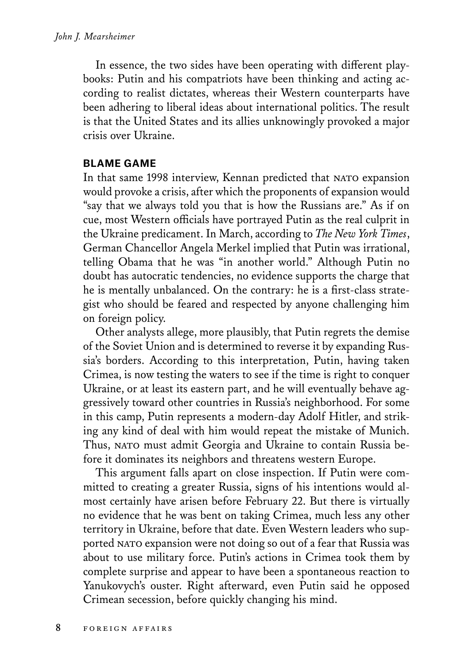In essence, the two sides have been operating with different playbooks: Putin and his compatriots have been thinking and acting according to realist dictates, whereas their Western counterparts have been adhering to liberal ideas about international politics. The result is that the United States and its allies unknowingly provoked a major crisis over Ukraine.

#### **BLAME GAME**

In that same 1998 interview, Kennan predicted that NATO expansion would provoke a crisis, after which the proponents of expansion would "say that we always told you that is how the Russians are." As if on cue, most Western officials have portrayed Putin as the real culprit in the Ukraine predicament. In March, according to *The New York Times*, German Chancellor Angela Merkel implied that Putin was irrational, telling Obama that he was "in another world." Although Putin no doubt has autocratic tendencies, no evidence supports the charge that he is mentally unbalanced. On the contrary: he is a first-class strategist who should be feared and respected by anyone challenging him on foreign policy.

Other analysts allege, more plausibly, that Putin regrets the demise of the Soviet Union and is determined to reverse it by expanding Russia's borders. According to this interpretation, Putin, having taken Crimea, is now testing the waters to see if the time is right to conquer Ukraine, or at least its eastern part, and he will eventually behave aggressively toward other countries in Russia's neighborhood. For some in this camp, Putin represents a modern-day Adolf Hitler, and striking any kind of deal with him would repeat the mistake of Munich. Thus, NATO must admit Georgia and Ukraine to contain Russia before it dominates its neighbors and threatens western Europe.

This argument falls apart on close inspection. If Putin were committed to creating a greater Russia, signs of his intentions would almost certainly have arisen before February 22. But there is virtually no evidence that he was bent on taking Crimea, much less any other territory in Ukraine, before that date. Even Western leaders who supported NATO expansion were not doing so out of a fear that Russia was about to use military force. Putin's actions in Crimea took them by complete surprise and appear to have been a spontaneous reaction to Yanukovych's ouster. Right afterward, even Putin said he opposed Crimean secession, before quickly changing his mind.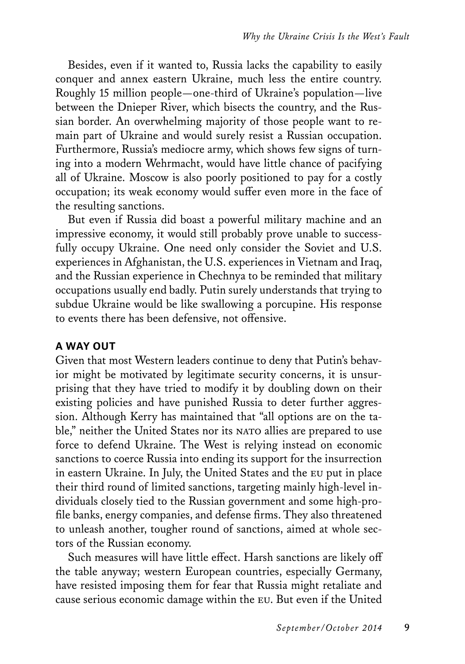Besides, even if it wanted to, Russia lacks the capability to easily conquer and annex eastern Ukraine, much less the entire country. Roughly 15 million people—one-third of Ukraine's population—live between the Dnieper River, which bisects the country, and the Russian border. An overwhelming majority of those people want to remain part of Ukraine and would surely resist a Russian occupation. Furthermore, Russia's mediocre army, which shows few signs of turning into a modern Wehrmacht, would have little chance of pacifying all of Ukraine. Moscow is also poorly positioned to pay for a costly occupation; its weak economy would suffer even more in the face of the resulting sanctions.

But even if Russia did boast a powerful military machine and an impressive economy, it would still probably prove unable to successfully occupy Ukraine. One need only consider the Soviet and U.S. experiences in Afghanistan, the U.S. experiences in Vietnam and Iraq, and the Russian experience in Chechnya to be reminded that military occupations usually end badly. Putin surely understands that trying to subdue Ukraine would be like swallowing a porcupine. His response to events there has been defensive, not offensive.

### **A WAY OUT**

Given that most Western leaders continue to deny that Putin's behavior might be motivated by legitimate security concerns, it is unsurprising that they have tried to modify it by doubling down on their existing policies and have punished Russia to deter further aggression. Although Kerry has maintained that "all options are on the table," neither the United States nor its NATO allies are prepared to use force to defend Ukraine. The West is relying instead on economic sanctions to coerce Russia into ending its support for the insurrection in eastern Ukraine. In July, the United States and the EU put in place their third round of limited sanctions, targeting mainly high-level individuals closely tied to the Russian government and some high-pro file banks, energy companies, and defense firms. They also threatened to unleash another, tougher round of sanctions, aimed at whole sectors of the Russian economy.

Such measures will have little effect. Harsh sanctions are likely off the table anyway; western European countries, especially Germany, have resisted imposing them for fear that Russia might retaliate and cause serious economic damage within the EU. But even if the United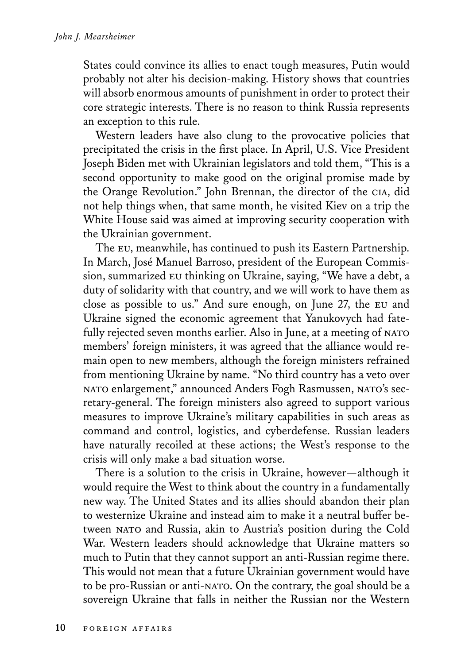States could convince its allies to enact tough measures, Putin would probably not alter his decision-making. History shows that countries will absorb enormous amounts of punishment in order to protect their core strategic interests. There is no reason to think Russia represents an exception to this rule.

Western leaders have also clung to the provocative policies that precipitated the crisis in the first place. In April, U.S. Vice President Joseph Biden met with Ukrainian legislators and told them, "This is a second opportunity to make good on the original promise made by the Orange Revolution." John Brennan, the director of the CIA, did not help things when, that same month, he visited Kiev on a trip the White House said was aimed at improving security cooperation with the Ukrainian government.

The EU, meanwhile, has continued to push its Eastern Partnership. In March, José Manuel Barroso, president of the European Commission, summarized EU thinking on Ukraine, saying, "We have a debt, a duty of solidarity with that country, and we will work to have them as close as possible to us." And sure enough, on June 27, the EU and Ukraine signed the economic agreement that Yanukovych had fatefully rejected seven months earlier. Also in June, at a meeting of NATO members' foreign ministers, it was agreed that the alliance would remain open to new members, although the foreign ministers refrained from mentioning Ukraine by name. "No third country has a veto over NATO enlargement," announced Anders Fogh Rasmussen, NATO's secretary-general. The foreign ministers also agreed to support various measures to improve Ukraine's military capabilities in such areas as command and control, logistics, and cyberdefense. Russian leaders have naturally recoiled at these actions; the West's response to the crisis will only make a bad situation worse.

There is a solution to the crisis in Ukraine, however—although it would require the West to think about the country in a fundamentally new way. The United States and its allies should abandon their plan to westernize Ukraine and instead aim to make it a neutral buffer between NATO and Russia, akin to Austria's position during the Cold War. Western leaders should acknowledge that Ukraine matters so much to Putin that they cannot support an anti-Russian regime there. This would not mean that a future Ukrainian government would have to be pro-Russian or anti-NATO. On the contrary, the goal should be a sovereign Ukraine that falls in neither the Russian nor the Western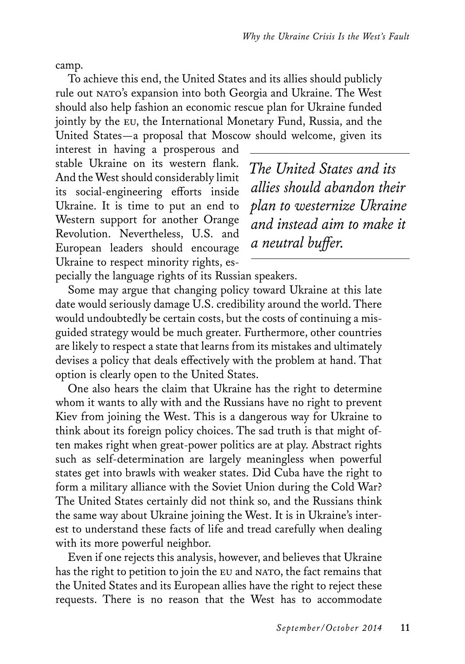camp.

To achieve this end, the United States and its allies should publicly rule out NATO's expansion into both Georgia and Ukraine. The West should also help fashion an economic rescue plan for Ukraine funded jointly by the EU, the International Monetary Fund, Russia, and the United States—a proposal that Moscow should welcome, given its

interest in having a prosperous and stable Ukraine on its western flank. And the West should considerably limit its social-engineering efforts inside Ukraine. It is time to put an end to Western support for another Orange Revolution. Nevertheless, U.S. and European leaders should encourage Ukraine to respect minority rights, es-

*The United States and its allies should abandon their plan to westernize Ukraine and instead aim to make it a neutral bu!er.*

pecially the language rights of its Russian speakers.

Some may argue that changing policy toward Ukraine at this late date would seriously damage U.S. credibility around the world. There would undoubtedly be certain costs, but the costs of continuing a misguided strategy would be much greater. Furthermore, other countries are likely to respect a state that learns from its mistakes and ultimately devises a policy that deals effectively with the problem at hand. That option is clearly open to the United States.

One also hears the claim that Ukraine has the right to determine whom it wants to ally with and the Russians have no right to prevent Kiev from joining the West. This is a dangerous way for Ukraine to think about its foreign policy choices. The sad truth is that might often makes right when great-power politics are at play. Abstract rights such as self-determination are largely meaningless when powerful states get into brawls with weaker states. Did Cuba have the right to form a military alliance with the Soviet Union during the Cold War? The United States certainly did not think so, and the Russians think the same way about Ukraine joining the West. It is in Ukraine's interest to understand these facts of life and tread carefully when dealing with its more powerful neighbor.

Even if one rejects this analysis, however, and believes that Ukraine has the right to petition to join the EU and NATO, the fact remains that the United States and its European allies have the right to reject these requests. There is no reason that the West has to accommodate